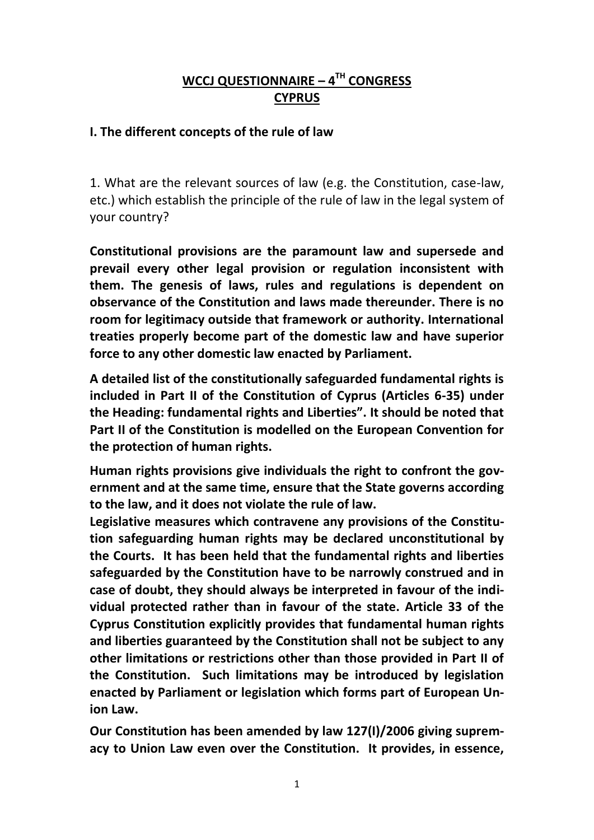# **WCCJ QUESTIONNAIRE – 4 TH CONGRESS CYPRUS**

## **I. The different concepts of the rule of law**

1. What are the relevant sources of law (e.g. the Constitution, case-law, etc.) which establish the principle of the rule of law in the legal system of your country?

**Constitutional provisions are the paramount law and supersede and prevail every other legal provision or regulation inconsistent with them. The genesis of laws, rules and regulations is dependent on observance of the Constitution and laws made thereunder. There is no room for legitimacy outside that framework or authority. International treaties properly become part of the domestic law and have superior force to any other domestic law enacted by Parliament.** 

**A detailed list of the constitutionally safeguarded fundamental rights is included in Part II of the Constitution of Cyprus (Articles 6-35) under the Heading: fundamental rights and Liberties". It should be noted that Part II of the Constitution is modelled on the European Convention for the protection of human rights.**

**Human rights provisions give individuals the right to confront the government and at the same time, ensure that the State governs according to the law, and it does not violate the rule of law.** 

**Legislative measures which contravene any provisions of the Constitution safeguarding human rights may be declared unconstitutional by the Courts. It has been held that the fundamental rights and liberties safeguarded by the Constitution have to be narrowly construed and in case of doubt, they should always be interpreted in favour of the individual protected rather than in favour of the state. Article 33 of the Cyprus Constitution explicitly provides that fundamental human rights and liberties guaranteed by the Constitution shall not be subject to any other limitations or restrictions other than those provided in Part II of the Constitution. Such limitations may be introduced by legislation enacted by Parliament or legislation which forms part of European Union Law.** 

**Our Constitution has been amended by law 127(I)/2006 giving supremacy to Union Law even over the Constitution. It provides, in essence,**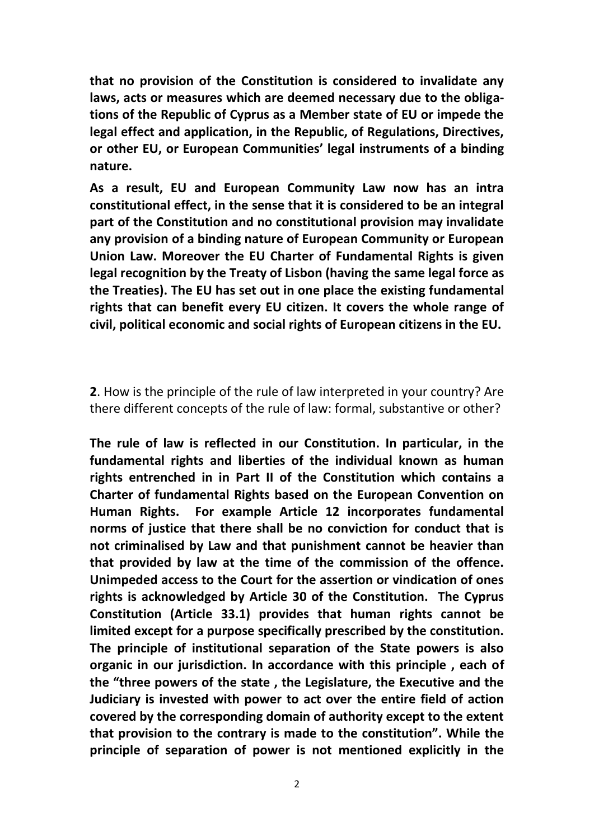**that no provision of the Constitution is considered to invalidate any laws, acts or measures which are deemed necessary due to the obligations of the Republic of Cyprus as a Member state of EU or impede the legal effect and application, in the Republic, of Regulations, Directives, or other EU, or European Communities' legal instruments of a binding nature.** 

**As a result, EU and European Community Law now has an intra constitutional effect, in the sense that it is considered to be an integral part of the Constitution and no constitutional provision may invalidate any provision of a binding nature of European Community or European Union Law. Moreover the EU Charter of Fundamental Rights is given legal recognition by the Treaty of Lisbon (having the same legal force as the Treaties). The EU has set out in one place the existing fundamental rights that can benefit every EU citizen. It covers the whole range of civil, political economic and social rights of European citizens in the EU.** 

**2**. How is the principle of the rule of law interpreted in your country? Are there different concepts of the rule of law: formal, substantive or other?

**The rule of law is reflected in our Constitution. In particular, in the fundamental rights and liberties of the individual known as human rights entrenched in in Part II of the Constitution which contains a Charter of fundamental Rights based on the European Convention on Human Rights. For example Article 12 incorporates fundamental norms of justice that there shall be no conviction for conduct that is not criminalised by Law and that punishment cannot be heavier than that provided by law at the time of the commission of the offence. Unimpeded access to the Court for the assertion or vindication of ones rights is acknowledged by Article 30 of the Constitution. The Cyprus Constitution (Article 33.1) provides that human rights cannot be limited except for a purpose specifically prescribed by the constitution. The principle of institutional separation of the State powers is also organic in our jurisdiction. In accordance with this principle , each of the "three powers of the state , the Legislature, the Executive and the Judiciary is invested with power to act over the entire field of action covered by the corresponding domain of authority except to the extent that provision to the contrary is made to the constitution". While the principle of separation of power is not mentioned explicitly in the**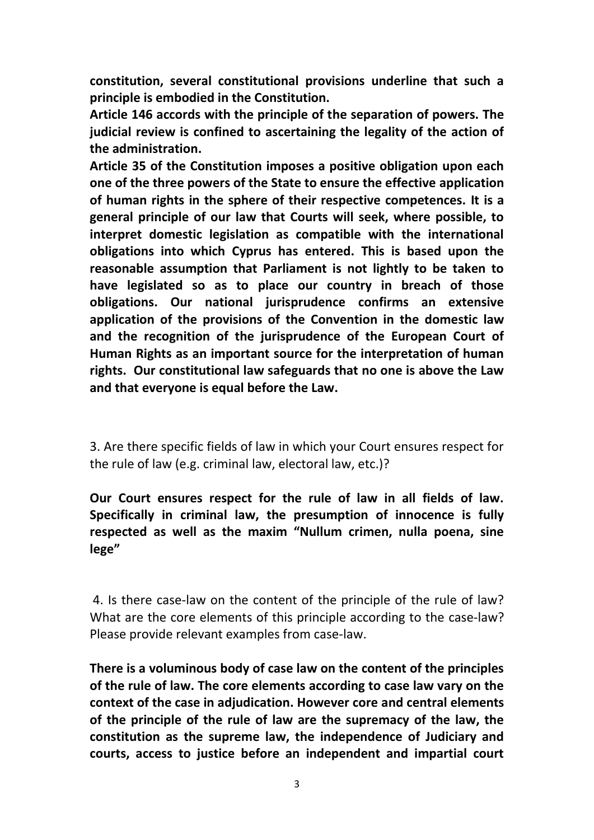**constitution, several constitutional provisions underline that such a principle is embodied in the Constitution.** 

**Article 146 accords with the principle of the separation of powers. The judicial review is confined to ascertaining the legality of the action of the administration.** 

**Article 35 of the Constitution imposes a positive obligation upon each one of the three powers of the State to ensure the effective application of human rights in the sphere of their respective competences. It is a general principle of our law that Courts will seek, where possible, to interpret domestic legislation as compatible with the international obligations into which Cyprus has entered. This is based upon the reasonable assumption that Parliament is not lightly to be taken to have legislated so as to place our country in breach of those obligations. Our national jurisprudence confirms an extensive application of the provisions of the Convention in the domestic law and the recognition of the jurisprudence of the European Court of Human Rights as an important source for the interpretation of human rights. Our constitutional law safeguards that no one is above the Law and that everyone is equal before the Law.**

3. Are there specific fields of law in which your Court ensures respect for the rule of law (e.g. criminal law, electoral law, etc.)?

**Our Court ensures respect for the rule of law in all fields of law. Specifically in criminal law, the presumption of innocence is fully respected as well as the maxim "Nullum crimen, nulla poena, sine lege"**

4. Is there case-law on the content of the principle of the rule of law? What are the core elements of this principle according to the case-law? Please provide relevant examples from case-law.

**There is a voluminous body of case law on the content of the principles of the rule of law. The core elements according to case law vary on the context of the case in adjudication. However core and central elements of the principle of the rule of law are the supremacy of the law, the constitution as the supreme law, the independence of Judiciary and courts, access to justice before an independent and impartial court**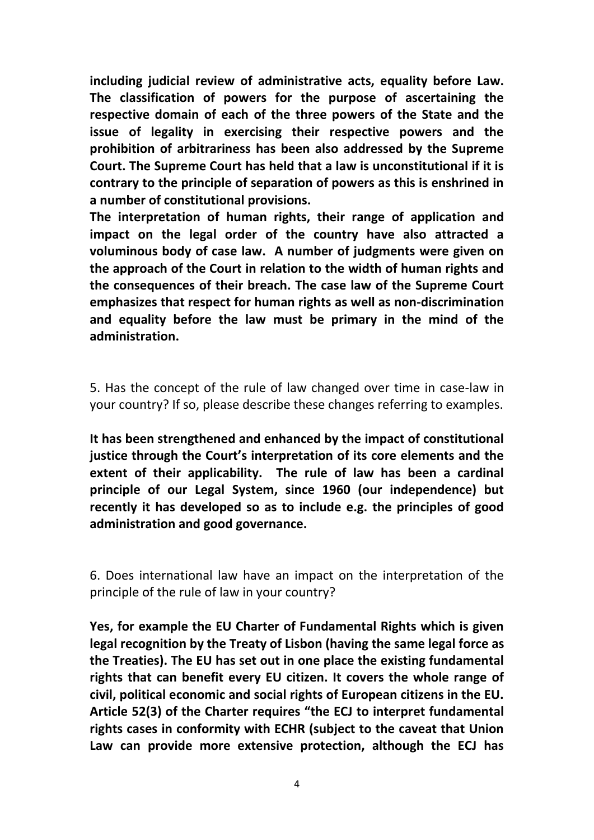**including judicial review of administrative acts, equality before Law. The classification of powers for the purpose of ascertaining the respective domain of each of the three powers of the State and the issue of legality in exercising their respective powers and the prohibition of arbitrariness has been also addressed by the Supreme Court. The Supreme Court has held that a law is unconstitutional if it is contrary to the principle of separation of powers as this is enshrined in a number of constitutional provisions.** 

**The interpretation of human rights, their range of application and impact on the legal order of the country have also attracted a voluminous body of case law. A number of judgments were given on the approach of the Court in relation to the width of human rights and the consequences of their breach. The case law of the Supreme Court emphasizes that respect for human rights as well as non-discrimination and equality before the law must be primary in the mind of the administration.** 

5. Has the concept of the rule of law changed over time in case-law in your country? If so, please describe these changes referring to examples.

**It has been strengthened and enhanced by the impact of constitutional justice through the Court's interpretation of its core elements and the extent of their applicability. The rule of law has been a cardinal principle of our Legal System, since 1960 (our independence) but recently it has developed so as to include e.g. the principles of good administration and good governance.**

6. Does international law have an impact on the interpretation of the principle of the rule of law in your country?

**Yes, for example the EU Charter of Fundamental Rights which is given legal recognition by the Treaty of Lisbon (having the same legal force as the Treaties). The EU has set out in one place the existing fundamental rights that can benefit every EU citizen. It covers the whole range of civil, political economic and social rights of European citizens in the EU. Article 52(3) of the Charter requires "the ECJ to interpret fundamental rights cases in conformity with ECHR (subject to the caveat that Union Law can provide more extensive protection, although the ECJ has**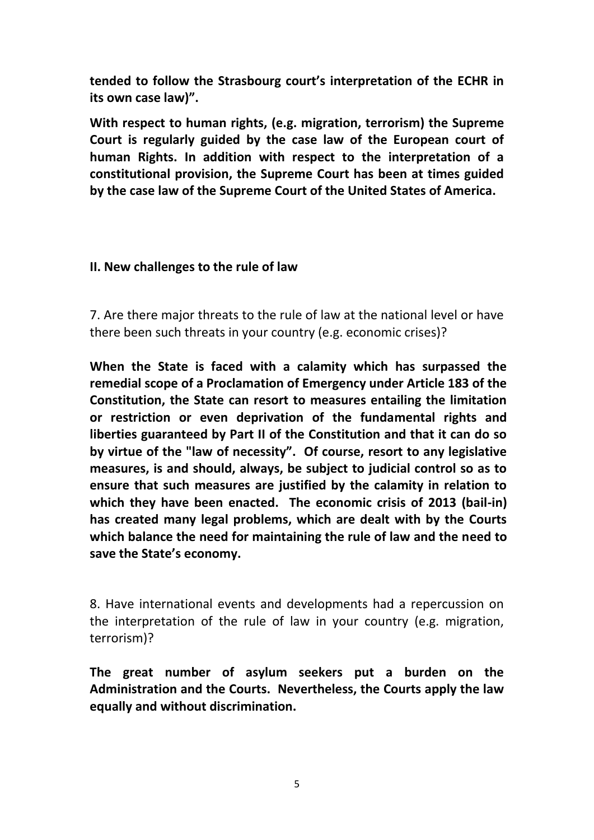**tended to follow the Strasbourg court's interpretation of the ECHR in its own case law)".** 

**With respect to human rights, (e.g. migration, terrorism) the Supreme Court is regularly guided by the case law of the European court of human Rights. In addition with respect to the interpretation of a constitutional provision, the Supreme Court has been at times guided by the case law of the Supreme Court of the United States of America.** 

#### **II. New challenges to the rule of law**

7. Are there major threats to the rule of law at the national level or have there been such threats in your country (e.g. economic crises)?

**When the State is faced with a calamity which has surpassed the remedial scope of a Proclamation of Emergency under Article 183 of the Constitution, the State can resort to measures entailing the limitation or restriction or even deprivation of the fundamental rights and liberties guaranteed by Part II of the Constitution and that it can do so by virtue of the "law of necessity". Of course, resort to any legislative measures, is and should, always, be subject to judicial control so as to ensure that such measures are justified by the calamity in relation to which they have been enacted. The economic crisis of 2013 (bail-in) has created many legal problems, which are dealt with by the Courts which balance the need for maintaining the rule of law and the need to save the State's economy.**

8. Have international events and developments had a repercussion on the interpretation of the rule of law in your country (e.g. migration, terrorism)?

**The great number of asylum seekers put a burden on the Administration and the Courts. Nevertheless, the Courts apply the law equally and without discrimination.**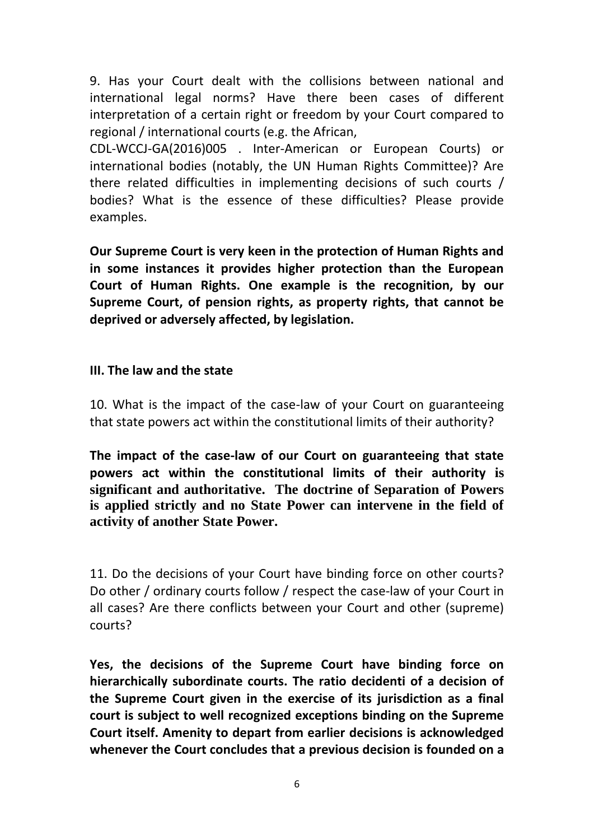9. Has your Court dealt with the collisions between national and international legal norms? Have there been cases of different interpretation of a certain right or freedom by your Court compared to regional / international courts (e.g. the African,

CDL-WCCJ-GA(2016)005 . Inter-American or European Courts) or international bodies (notably, the UN Human Rights Committee)? Are there related difficulties in implementing decisions of such courts / bodies? What is the essence of these difficulties? Please provide examples.

**Our Supreme Court is very keen in the protection of Human Rights and in some instances it provides higher protection than the European Court of Human Rights. One example is the recognition, by our Supreme Court, of pension rights, as property rights, that cannot be deprived or adversely affected, by legislation.**

## **III. The law and the state**

10. What is the impact of the case-law of your Court on guaranteeing that state powers act within the constitutional limits of their authority?

**The impact of the case-law of our Court on guaranteeing that state powers act within the constitutional limits of their authority is significant and authoritative. The doctrine of Separation of Powers is applied strictly and no State Power can intervene in the field of activity of another State Power.**

11. Do the decisions of your Court have binding force on other courts? Do other / ordinary courts follow / respect the case-law of your Court in all cases? Are there conflicts between your Court and other (supreme) courts?

**Yes, the decisions of the Supreme Court have binding force on hierarchically subordinate courts. The ratio decidenti of a decision of the Supreme Court given in the exercise of its jurisdiction as a final court is subject to well recognized exceptions binding on the Supreme Court itself. Amenity to depart from earlier decisions is acknowledged whenever the Court concludes that a previous decision is founded on a**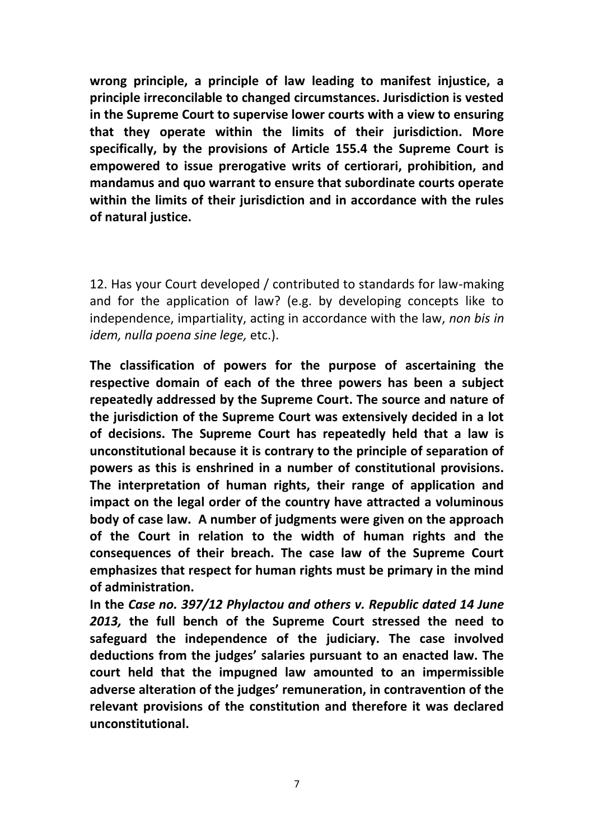**wrong principle, a principle of law leading to manifest injustice, a principle irreconcilable to changed circumstances. Jurisdiction is vested in the Supreme Court to supervise lower courts with a view to ensuring that they operate within the limits of their jurisdiction. More specifically, by the provisions of Article 155.4 the Supreme Court is empowered to issue prerogative writs of certiorari, prohibition, and mandamus and quo warrant to ensure that subordinate courts operate within the limits of their jurisdiction and in accordance with the rules of natural justice.**

12. Has your Court developed / contributed to standards for law-making and for the application of law? (e.g. by developing concepts like to independence, impartiality, acting in accordance with the law, *non bis in idem, nulla poena sine lege,* etc.).

**The classification of powers for the purpose of ascertaining the respective domain of each of the three powers has been a subject repeatedly addressed by the Supreme Court. The source and nature of the jurisdiction of the Supreme Court was extensively decided in a lot of decisions. The Supreme Court has repeatedly held that a law is unconstitutional because it is contrary to the principle of separation of powers as this is enshrined in a number of constitutional provisions. The interpretation of human rights, their range of application and impact on the legal order of the country have attracted a voluminous body of case law. A number of judgments were given on the approach of the Court in relation to the width of human rights and the consequences of their breach. The case law of the Supreme Court emphasizes that respect for human rights must be primary in the mind of administration.** 

**In the** *Case no. 397/12 Phylactou and others v. Republic dated 14 June 2013,* **the full bench of the Supreme Court stressed the need to safeguard the independence of the judiciary. The case involved deductions from the judges' salaries pursuant to an enacted law. The court held that the impugned law amounted to an impermissible adverse alteration of the judges' remuneration, in contravention of the relevant provisions of the constitution and therefore it was declared unconstitutional.**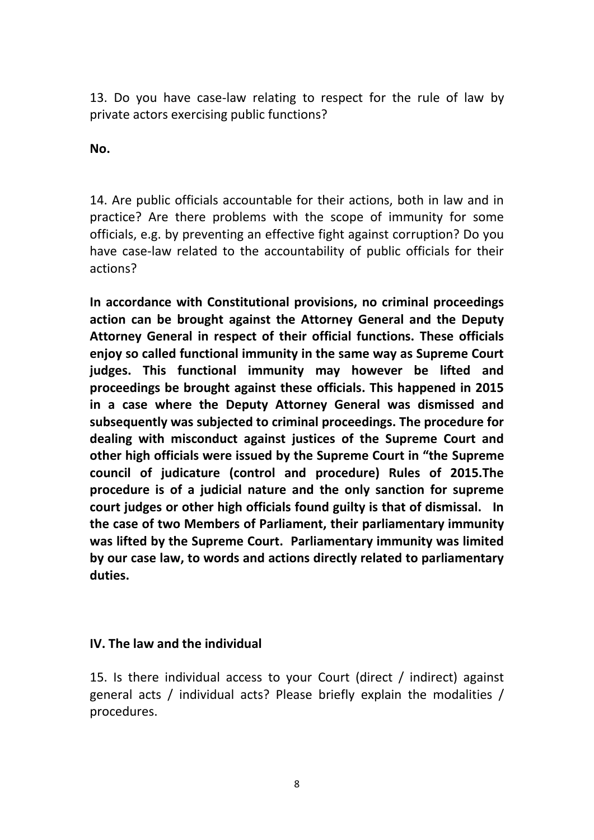13. Do you have case-law relating to respect for the rule of law by private actors exercising public functions?

**No.**

14. Are public officials accountable for their actions, both in law and in practice? Are there problems with the scope of immunity for some officials, e.g. by preventing an effective fight against corruption? Do you have case-law related to the accountability of public officials for their actions?

**In accordance with Constitutional provisions, no criminal proceedings action can be brought against the Attorney General and the Deputy Attorney General in respect of their official functions. These officials enjoy so called functional immunity in the same way as Supreme Court judges. This functional immunity may however be lifted and proceedings be brought against these officials. This happened in 2015 in a case where the Deputy Attorney General was dismissed and subsequently was subjected to criminal proceedings. The procedure for dealing with misconduct against justices of the Supreme Court and other high officials were issued by the Supreme Court in "the Supreme council of judicature (control and procedure) Rules of 2015.The procedure is of a judicial nature and the only sanction for supreme court judges or other high officials found guilty is that of dismissal. In the case of two Members of Parliament, their parliamentary immunity was lifted by the Supreme Court. Parliamentary immunity was limited by our case law, to words and actions directly related to parliamentary duties.**

# **IV. The law and the individual**

15. Is there individual access to your Court (direct / indirect) against general acts / individual acts? Please briefly explain the modalities / procedures.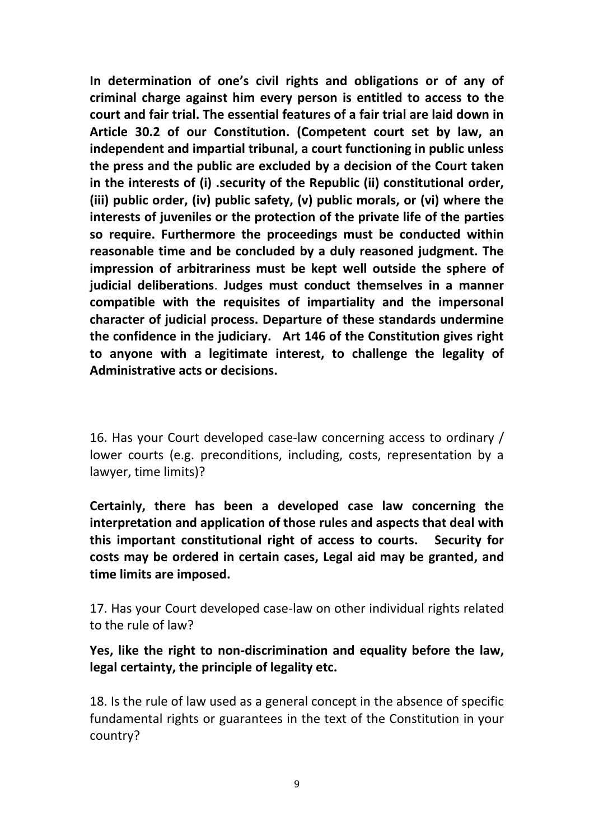**In determination of one's civil rights and obligations or of any of criminal charge against him every person is entitled to access to the court and fair trial. The essential features of a fair trial are laid down in Article 30.2 of our Constitution. (Competent court set by law, an independent and impartial tribunal, a court functioning in public unless the press and the public are excluded by a decision of the Court taken in the interests of (i) .security of the Republic (ii) constitutional order, (iii) public order, (iv) public safety, (v) public morals, or (vi) where the interests of juveniles or the protection of the private life of the parties so require. Furthermore the proceedings must be conducted within reasonable time and be concluded by a duly reasoned judgment. The impression of arbitrariness must be kept well outside the sphere of judicial deliberations**. **Judges must conduct themselves in a manner compatible with the requisites of impartiality and the impersonal character of judicial process. Departure of these standards undermine the confidence in the judiciary. Art 146 of the Constitution gives right to anyone with a legitimate interest, to challenge the legality of Administrative acts or decisions.**

16. Has your Court developed case-law concerning access to ordinary / lower courts (e.g. preconditions, including, costs, representation by a lawyer, time limits)?

**Certainly, there has been a developed case law concerning the interpretation and application of those rules and aspects that deal with this important constitutional right of access to courts. Security for costs may be ordered in certain cases, Legal aid may be granted, and time limits are imposed.**

17. Has your Court developed case-law on other individual rights related to the rule of law?

**Yes, like the right to non-discrimination and equality before the law, legal certainty, the principle of legality etc.** 

18. Is the rule of law used as a general concept in the absence of specific fundamental rights or guarantees in the text of the Constitution in your country?